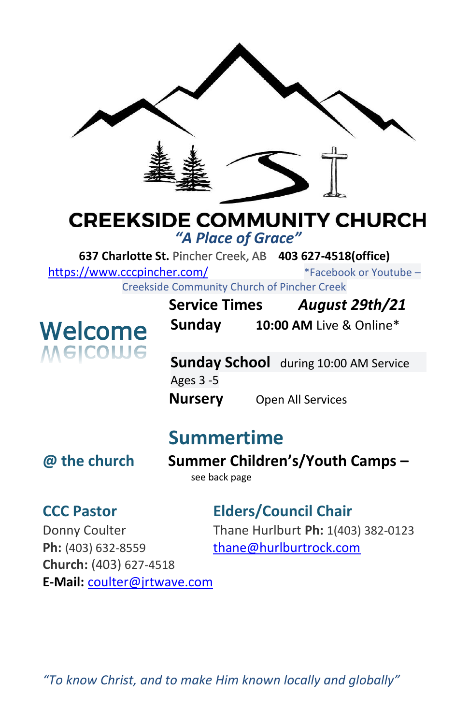

# **CREEKSIDE COMMUNITY CHURCH**

*"A Place of Grace"*

**637 Charlotte St.** Pincher Creek, AB **403 627-4518(office)** 

<https://www.cccpincher.com/>\*Facebook or Youtube – Creekside Community Church of Pincher Creek

**Welcome**<br>Melcowe

**Service Times** *August 29th/21* **Sunday 10:00 AM** Live & Online\*

**Sunday School** during 10:00 AM Service Ages 3 -5 **Nursery** Open All Services

## **Summertime**

**@ the church Summer Children's/Youth Camps –** see back page

### **CCC Pastor Elders/Council Chair**

Ph: (403) 632-8559 [thane@hurlburtrock.com](mailto:thane@hurlburtrock.com) **Church:** (403) 627-4518 **E-Mail:** [coulter@jrtwave.com](mailto:coulter@jrtwave.com)

Donny Coulter Thane Hurlburt **Ph:** 1(403) 382-0123

*"To know Christ, and to make Him known locally and globally"*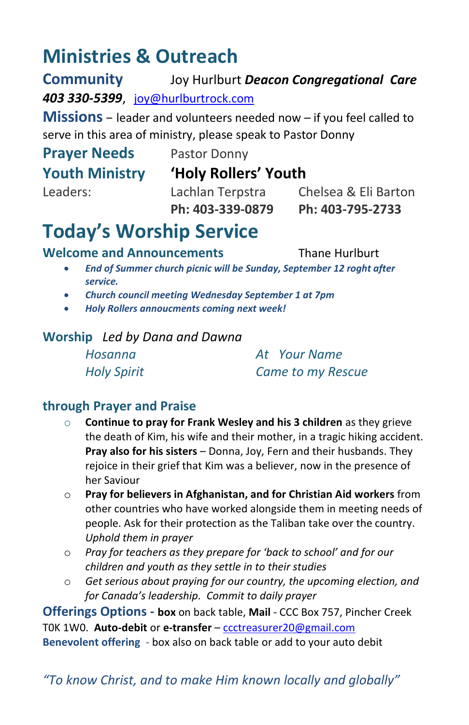## **Ministries & Outreach**

**Community** Joy Hurlburt *Deacon Congregational Care 403 330-5399*, [joy@hurlburtrock.com](mailto:joy@hurlburtrock.com)

**Missions** – leader and volunteers needed now – if you feel called to serve in this area of ministry, please speak to Pastor Donny

## **Prayer Needs** Pastor Donny

#### **Youth Ministry 'Holy Rollers' Youth**

Leaders: Lachlan Terpstra Chelsea & Eli Barton **Ph: 403-339-0879 Ph: 403-795-2733**

## **Today's Worship Service**

**Welcome and Announcements** Thane Hurlburt

- *End of Summer church picnic will be Sunday, September 12 roght after service.*
- *Church council meeting Wednesday September 1 at 7pm*
- *Holy Rollers annoucments coming next week!*

#### **Worship** *Led by Dana and Dawna*

*Hosanna At Your Name Holy Spirit Came to my Rescue*

#### **through Prayer and Praise**

- o **Continue to pray for Frank Wesley and his 3 children** as they grieve the death of Kim, his wife and their mother, in a tragic hiking accident. **Pray also for his sisters** – Donna, Joy, Fern and their husbands. They rejoice in their grief that Kim was a believer, now in the presence of her Saviour
- o **Pray for believers in Afghanistan, and for Christian Aid workers** from other countries who have worked alongside them in meeting needs of people. Ask for their protection as the Taliban take over the country. *Uphold them in prayer*
- o *Pray for teachers as they prepare for 'back to school' and for our children and youth as they settle in to their studies*
- o *Get serious about praying for our country, the upcoming election, and for Canada's leadership. Commit to daily prayer*

**Offerings Options - box** on back table, **Mail** - CCC Box 757, Pincher Creek T0K 1W0. **Auto-debit** or **e-transfer** – [ccctreasurer20@gmail.com](mailto:ccctreasurer20@gmail.com) **Benevolent offering** - box also on back table or add to your auto debit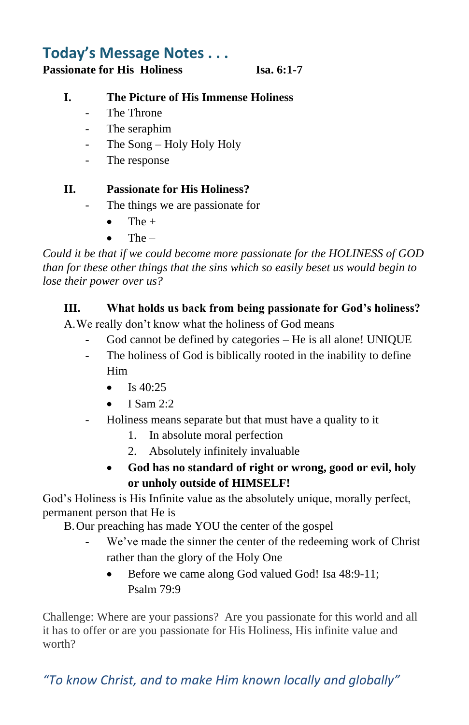### **Today's Message Notes . . .**

**Passionate for His Holiness Isa. 6:1-7**

#### **I. The Picture of His Immense Holiness**

- The Throne
- The seraphim
- The Song Holy Holy Holy
- The response

#### **II. Passionate for His Holiness?**

- The things we are passionate for
	- $\bullet$  The +
	- $\bullet$  The  $-$

*Could it be that if we could become more passionate for the HOLINESS of GOD than for these other things that the sins which so easily beset us would begin to lose their power over us?*

#### **III. What holds us back from being passionate for God's holiness?**

A.We really don't know what the holiness of God means

- God cannot be defined by categories He is all alone! UNIQUE
- The holiness of God is biblically rooted in the inability to define Him
	- Is  $40.25$
	- $\bullet$  I Sam 2:2
- Holiness means separate but that must have a quality to it
	- 1. In absolute moral perfection
	- 2. Absolutely infinitely invaluable
	- **God has no standard of right or wrong, good or evil, holy or unholy outside of HIMSELF!**

God's Holiness is His Infinite value as the absolutely unique, morally perfect, permanent person that He is

B.Our preaching has made YOU the center of the gospel

- We've made the sinner the center of the redeeming work of Christ rather than the glory of the Holy One
	- Before we came along God valued God! Isa 48:9-11; Psalm 79:9

Challenge: Where are your passions? Are you passionate for this world and all it has to offer or are you passionate for His Holiness, His infinite value and worth?

*"To know Christ, and to make Him known locally and globally"*